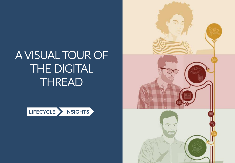# A VISUAL TOUR OF THE DIGITAL THREAD



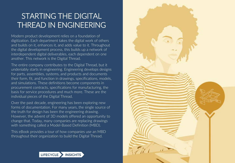# STARTING THE DIGITAL THREAD IN ENGINEERING

Modern product development relies on a foundation of digitization. Each department takes the digital work of others and builds on it, enhances it, and adds value to it. Throughout the digital development process, this builds up a network of interdependent digital deliverables, each dependent on one another. This network is the Digital Thread.

The entire company contributes to the Digital Thread, but it undeniably starts in engineering. Engineering develops designs for parts, assemblies, systems, and products and documents their form, fit, and function in drawings, specifications, models, and simulations. These definitions become components in procurement contracts, specifications for manufacturing, the basis for service procedures and much more. These are the individual pieces of the Digital Thread.

Over the past decade, engineering has been exploring new forms of documentation. For many years, the single source of the truth for design has been the engineering drawing. However, the advent of 3D models offered an opportunity to change that. Today, many companies are replacing drawings with something called a Model-Based Definition (MBD).

This eBook provides a tour of how companies use an MBD throughout their organization to build the Digital Thread.



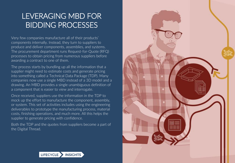### LEVERAGING MBD FOR BIDDING PROCESSES

Very few companies manufacture all of their products' components internally. Instead, they turn to suppliers to produce and deliver components, assemblies, and systems. The procurement department runs Request-for-Quote (RFQ) processes to obtain pricing from numerous suppliers before awarding a contract to one of them.

The process starts by bundling up all the information that a supplier might need to estimate costs and generate pricing into something called a Technical Data Package (TDP). Many companies now use a single MBD instead of a 3D model and a drawing. An MBD provides a single unambiguous definition of a component that is easier to view and interrogate.

Once received, suppliers use the information in the TDP to mock up the effort to manufacture the component, assembly, or system. This set of activities includes using the engineering deliverables to prototype the manufacturing process, material costs, finishing operations, and much more. All this helps the supplier to generate pricing with confidence.

Both the TDP and the quotes from suppliers become a part of the Digital Thread.



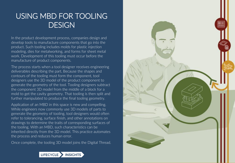#### USING MBD FOR TOOLING **DESIGN**

In the product development process, companies design and develop tools to manufacture components that go into the product. Such tooling includes molds for plastic injection modeling, dies for metalworking, and forms for sheet metal work. Development of this tooling must occur before the manufacture of product components.

The process starts when a tool designer receives engineering deliverables describing the part. Because the shapes and contours of the tooling must form the component, tool designers use the 3D model of the product component to generate the geometry of the tool. Tooling designers subtract the component 3D model from the middle of a block for a mold to get the cavity geometry. That tooling is then split and further manipulated to produce the final tooling geometry.

Application of an MBD in this space is new and compelling. While engineers now commonly use 3D models of parts to generate the geometry of tooling, tool designers would often refer to tolerancing, surface finish, and other annotations on drawings to determine the traits of corresponding surfaces of the tooling. With an MBD, such characteristics can be inherited directly from the 3D model. This practice automates the process and reduces human error.

Once complete, the tooling 3D model joins the Digital Thread.



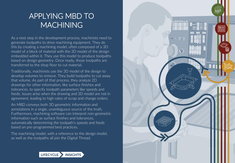#### APPLYING MBD TO **MACHINING**

As a next step in the development process, machinists need to generate toolpaths to drive machining equipment. They do this by creating a machining model, often composed of a 3D model of a block of material with the 3D model of the design embedded within it. They use this model to produce toolpaths based on design geometry. Once ready, those toolpaths are transferred to the shop floor to cut material.

Traditionally, machinists use the 3D model of the design to develop volumes to remove. They build toolpaths to cut away that volume. As part of that process, they analyze 2D drawings for other information, like surface finishes and tolerances, to specify toolpath parameters like speeds and feeds. Issues arise when the drawing and 3D model are not in agreement, leading to high rates of scrap and change orders.

An MBD conveys both 3D geometric information and annotations in a single, unambiguous source of the truth. Furthermore, machining software can interpret non-geometric information such as surface finishes and tolerances, automatically determining the toolpath's speeds and feeds based on pre-programmed best practices.

The machining model, with a reference to the design model, as well as the toolpaths all join the Digital Thread.



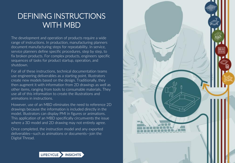#### DEFINING INSTRUCTIONS WITH MBD

The development and operation of products require a wide range of instructions. In production, manufacturing planners document manufacturing steps for repeatability. In service, service planners define specific procedures, step by step, to fix broken products. For complex products, engineers specific sequences of tasks for product startup, operation, and shutdown.

For all of these instructions, technical documentation teams use engineering deliverables as a starting point. Illustrators create new models based on the design. Traditionally, they then augment it with information from 2D drawings as well as other items, ranging from tools to consumable materials. They use all of this information to create the illustrations and animations in instructions.

However, use of an MBD eliminates the need to reference 2D drawings because the information is included directly in the model. Illustrators can display PMI in figures or animations. This application of an MBD specifically circumvents the issue where a 3D model and 2D drawing may not entirely agree.

Once completed, the instruction model and any exported deliverables—such as animations or documents—join the Digital Thread.



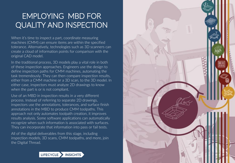# EMPLOYING MBD FOR QUALITY AND INSPECTION

When it's time to inspect a part, coordinate measuring machines (CMM) can ensure items are within the specified tolerance. Alternatively, technologies such as 3D scanners can create a cloud of information points for comparison with the original CAD model.

In the traditional process, 3D models play a vital role in both of these inspection approaches. Engineers use the design to define inspection paths for CMM machines, automating the task tremendously. They can then compare inspection results, either from a CMM machine or a 3D scan, to the 3D model. In either case, inspectors must analyze 2D drawings to know when the part is or is not compliant.

Use of an MBD in inspection results in a very different process. Instead of referring to separate 2D drawings, inspectors use the annotations, tolerances, and surface finish annotations in the MBD to produce CMM toolpaths. This approach not only automates toolpath creation, it improves results analysis. Some software applications can automatically recognize when such information is associated with surfaces. They can incorporate that information into pass or fail tests.

All of the digital deliverables from this stage, including inspection models, 3D scans, CMM toolpaths, and more, join the Digital Thread.